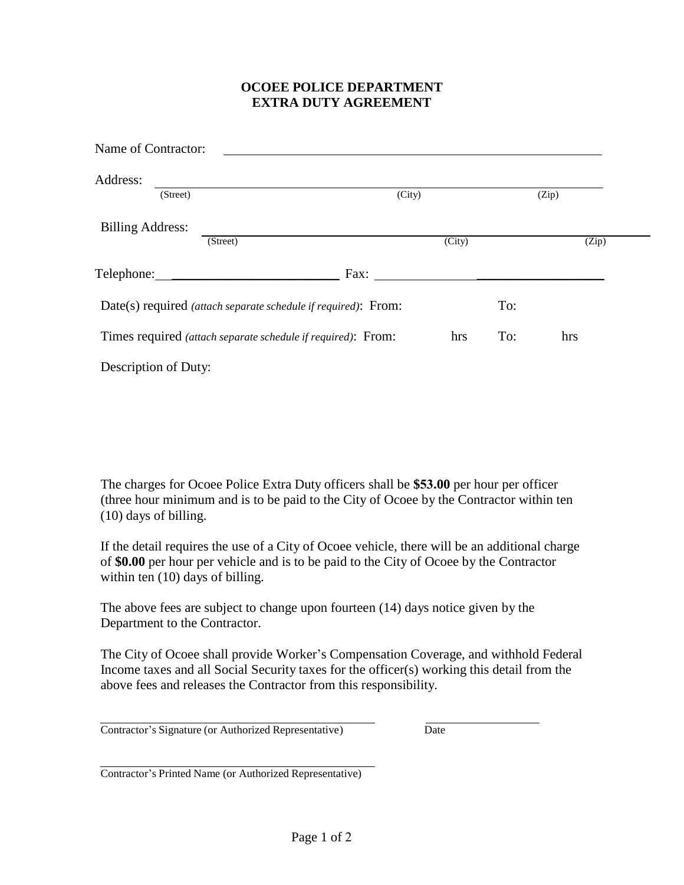## **OCOEE POLICE DEPARTMENT EXTRA DUTY AGREEMENT**

| Name of Contractor:                                                    |                                                                                                                                                                                                                                                                                                                                                                                                                  |                     |     |       |
|------------------------------------------------------------------------|------------------------------------------------------------------------------------------------------------------------------------------------------------------------------------------------------------------------------------------------------------------------------------------------------------------------------------------------------------------------------------------------------------------|---------------------|-----|-------|
| Address:                                                               |                                                                                                                                                                                                                                                                                                                                                                                                                  |                     |     |       |
| (Street)                                                               | (City)                                                                                                                                                                                                                                                                                                                                                                                                           |                     |     | (Zip) |
| <b>Billing Address:</b>                                                |                                                                                                                                                                                                                                                                                                                                                                                                                  |                     |     |       |
| (Street)                                                               |                                                                                                                                                                                                                                                                                                                                                                                                                  | $\overline{(City)}$ |     | (Zip) |
| Telephone:                                                             | $\text{Fax:}\n\begin{array}{ccc}\n\frac{1}{2} & \frac{1}{2} & \frac{1}{2} \\ \frac{1}{2} & \frac{1}{2} & \frac{1}{2} \\ \frac{1}{2} & \frac{1}{2} & \frac{1}{2} \\ \frac{1}{2} & \frac{1}{2} & \frac{1}{2} \\ \frac{1}{2} & \frac{1}{2} & \frac{1}{2} \\ \frac{1}{2} & \frac{1}{2} & \frac{1}{2} \\ \frac{1}{2} & \frac{1}{2} & \frac{1}{2} \\ \frac{1}{2} & \frac{1}{2} & \frac{1}{2} \\ \frac{1}{2} & \frac{1$ |                     |     |       |
| Date(s) required <i>(attach separate schedule if required)</i> : From: |                                                                                                                                                                                                                                                                                                                                                                                                                  |                     | To: |       |
| Times required (attach separate schedule if required): From:           |                                                                                                                                                                                                                                                                                                                                                                                                                  | hrs                 | To: | hrs   |
| Description of Duty:                                                   |                                                                                                                                                                                                                                                                                                                                                                                                                  |                     |     |       |

The charges for Ocoee Police Extra Duty officers shall be **\$53.00** per hour per officer (three hour minimum and is to be paid to the City of Ocoee by the Contractor within ten (10) days of billing.

If the detail requires the use of a City of Ocoee vehicle, there will be an additional charge of **\$0.00** per hour per vehicle and is to be paid to the City of Ocoee by the Contractor within ten (10) days of billing.

The above fees are subject to change upon fourteen (14) days notice given by the Department to the Contractor.

The City of Ocoee shall provide Worker's Compensation Coverage, and withhold Federal Income taxes and all Social Security taxes for the officer(s) working this detail from the above fees and releases the Contractor from this responsibility.

Contractor's Signature (or Authorized Representative) Date

Contractor's Printed Name (or Authorized Representative)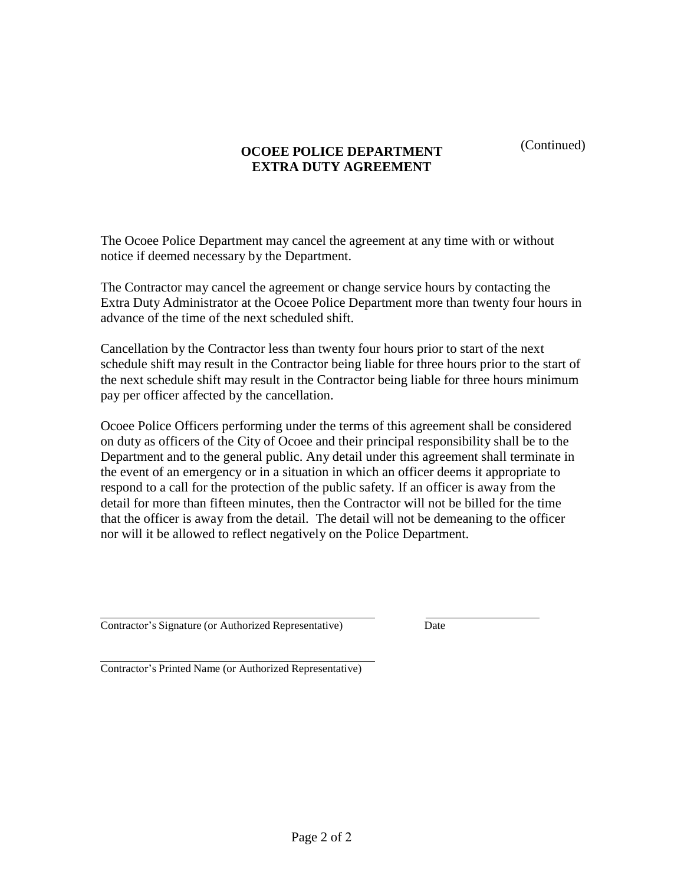(Continued)

## **OCOEE POLICE DEPARTMENT EXTRA DUTY AGREEMENT**

The Ocoee Police Department may cancel the agreement at any time with or without notice if deemed necessary by the Department.

The Contractor may cancel the agreement or change service hours by contacting the Extra Duty Administrator at the Ocoee Police Department more than twenty four hours in advance of the time of the next scheduled shift.

Cancellation by the Contractor less than twenty four hours prior to start of the next schedule shift may result in the Contractor being liable for three hours prior to the start of the next schedule shift may result in the Contractor being liable for three hours minimum pay per officer affected by the cancellation.

Ocoee Police Officers performing under the terms of this agreement shall be considered on duty as officers of the City of Ocoee and their principal responsibility shall be to the Department and to the general public. Any detail under this agreement shall terminate in the event of an emergency or in a situation in which an officer deems it appropriate to respond to a call for the protection of the public safety. If an officer is away from the detail for more than fifteen minutes, then the Contractor will not be billed for the time that the officer is away from the detail. The detail will not be demeaning to the officer nor will it be allowed to reflect negatively on the Police Department.

Contractor's Signature (or Authorized Representative) Date

Contractor's Printed Name (or Authorized Representative)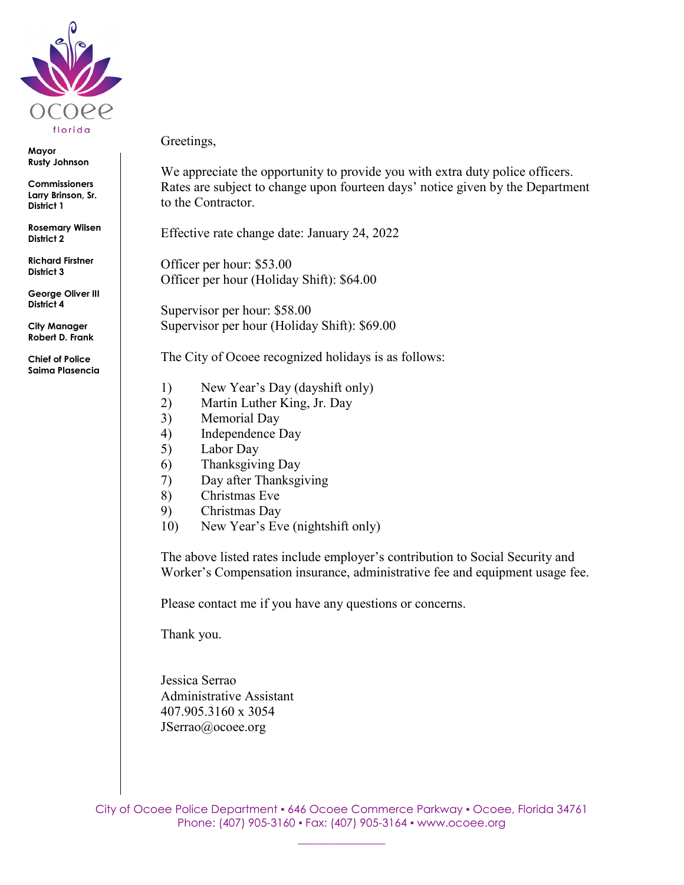

**Mayor Rusty Johnson**

**Commissioners Larry Brinson, Sr. District 1**

**Rosemary Wilsen District 2**

**Richard Firstner District 3**

**George Oliver III District 4**

**City Manager Robert D. Frank**

**Chief of Police Saima Plasencia**

## Greetings,

We appreciate the opportunity to provide you with extra duty police officers. Rates are subject to change upon fourteen days' notice given by the Department to the Contractor.

Effective rate change date: January 24, 2022

Officer per hour: \$53.00 Officer per hour (Holiday Shift): \$64.00

Supervisor per hour: \$58.00 Supervisor per hour (Holiday Shift): \$69.00

The City of Ocoee recognized holidays is as follows:

- 1) New Year's Day (dayshift only)
- 2) Martin Luther King, Jr. Day
- 3) Memorial Day
- 4) Independence Day
- 5) Labor Day
- 6) Thanksgiving Day
- 7) Day after Thanksgiving
- 8) Christmas Eve
- 9) Christmas Day
- 10) New Year's Eve (nightshift only)

The above listed rates include employer's contribution to Social Security and Worker's Compensation insurance, administrative fee and equipment usage fee.

Please contact me if you have any questions or concerns.

Thank you.

Jessica Serrao Administrative Assistant 407.905.3160 x 3054 JSerrao@ocoee.org